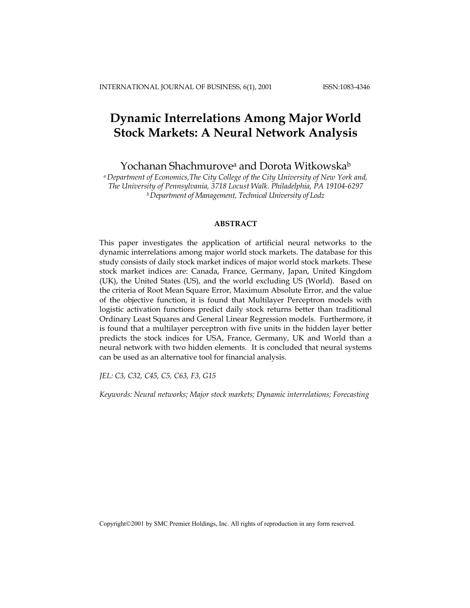# **Dynamic Interrelations Among Major World Stock Markets: A Neural Network Analysis**

Yochanan Shachmurovea and Dorota Witkowskab

*a Department of Economics,The City College of the City University of New York and, The University of Pennsylvania, 3718 Locust Walk. Philadelphia, PA 19104-6297 b Department of Management, Technical University of Lodz*

# **ABSTRACT**

This paper investigates the application of artificial neural networks to the dynamic interrelations among major world stock markets. The database for this study consists of daily stock market indices of major world stock markets. These stock market indices are: Canada, France, Germany, Japan, United Kingdom (UK), the United States (US), and the world excluding US (World). Based on the criteria of Root Mean Square Error, Maximum Absolute Error, and the value of the objective function, it is found that Multilayer Perceptron models with logistic activation functions predict daily stock returns better than traditional Ordinary Least Squares and General Linear Regression models. Furthermore, it is found that a multilayer perceptron with five units in the hidden layer better predicts the stock indices for USA, France, Germany, UK and World than a neural network with two hidden elements. It is concluded that neural systems can be used as an alternative tool for financial analysis.

*JEL: C3, C32, C45, C5, C63, F3, G15* 

*Keywords: Neural networks; Major stock markets; Dynamic interrelations; Forecasting* 

Copyright©2001 by SMC Premier Holdings, Inc. All rights of reproduction in any form reserved.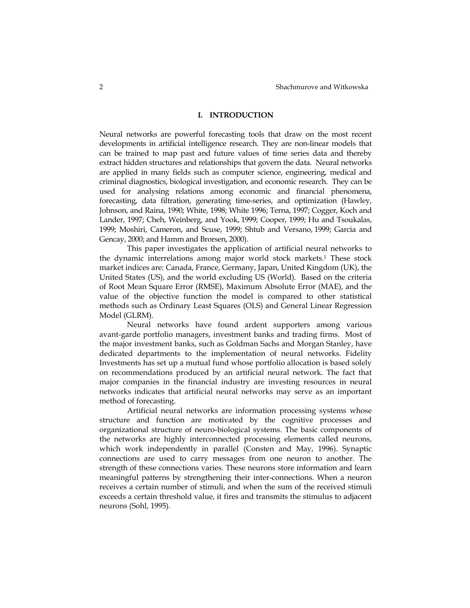#### **I. INTRODUCTION**

Neural networks are powerful forecasting tools that draw on the most recent developments in artificial intelligence research. They are non-linear models that can be trained to map past and future values of time series data and thereby extract hidden structures and relationships that govern the data. Neural networks are applied in many fields such as computer science, engineering, medical and criminal diagnostics, biological investigation, and economic research. They can be used for analysing relations among economic and financial phenomena, forecasting, data filtration, generating time-series, and optimization (Hawley, Johnson, and Raina, 1990; White, 1998; White 1996; Terna, 1997; Cogger, Koch and Lander, 1997; Cheh, Weinberg, and Yook, 1999; Cooper, 1999; Hu and Tsoukalas, 1999; Moshiri, Cameron, and Scuse, 1999; Shtub and Versano, 1999; Garcia and Gencay, 2000; and Hamm and Brorsen, 2000).

This paper investigates the application of artificial neural networks to the dynamic interrelations among major world stock markets.1 These stock market indices are: Canada, France, Germany, Japan, United Kingdom (UK), the United States (US), and the world excluding US (World). Based on the criteria of Root Mean Square Error (RMSE), Maximum Absolute Error (MAE), and the value of the objective function the model is compared to other statistical methods such as Ordinary Least Squares (OLS) and General Linear Regression Model (GLRM).

Neural networks have found ardent supporters among various avant-garde portfolio managers, investment banks and trading firms. Most of the major investment banks, such as Goldman Sachs and Morgan Stanley, have dedicated departments to the implementation of neural networks. Fidelity Investments has set up a mutual fund whose portfolio allocation is based solely on recommendations produced by an artificial neural network. The fact that major companies in the financial industry are investing resources in neural networks indicates that artificial neural networks may serve as an important method of forecasting.

Artificial neural networks are information processing systems whose structure and function are motivated by the cognitive processes and organizational structure of neuro-biological systems. The basic components of the networks are highly interconnected processing elements called neurons, which work independently in parallel (Consten and May, 1996). Synaptic connections are used to carry messages from one neuron to another. The strength of these connections varies. These neurons store information and learn meaningful patterns by strengthening their inter-connections. When a neuron receives a certain number of stimuli, and when the sum of the received stimuli exceeds a certain threshold value, it fires and transmits the stimulus to adjacent neurons (Sohl, 1995).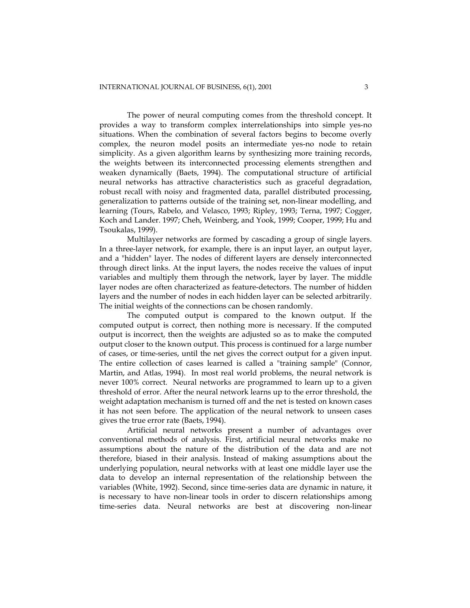The power of neural computing comes from the threshold concept. It provides a way to transform complex interrelationships into simple yes-no situations. When the combination of several factors begins to become overly complex, the neuron model posits an intermediate yes-no node to retain simplicity. As a given algorithm learns by synthesizing more training records, the weights between its interconnected processing elements strengthen and weaken dynamically (Baets, 1994). The computational structure of artificial neural networks has attractive characteristics such as graceful degradation, robust recall with noisy and fragmented data, parallel distributed processing, generalization to patterns outside of the training set, non-linear modelling, and learning (Tours, Rabelo, and Velasco, 1993; Ripley, 1993; Terna, 1997; Cogger, Koch and Lander. 1997; Cheh, Weinberg, and Yook, 1999; Cooper, 1999; Hu and Tsoukalas, 1999).

Multilayer networks are formed by cascading a group of single layers. In a three-layer network, for example, there is an input layer, an output layer, and a "hidden" layer. The nodes of different layers are densely interconnected through direct links. At the input layers, the nodes receive the values of input variables and multiply them through the network, layer by layer. The middle layer nodes are often characterized as feature-detectors. The number of hidden layers and the number of nodes in each hidden layer can be selected arbitrarily. The initial weights of the connections can be chosen randomly.

The computed output is compared to the known output. If the computed output is correct, then nothing more is necessary. If the computed output is incorrect, then the weights are adjusted so as to make the computed output closer to the known output. This process is continued for a large number of cases, or time-series, until the net gives the correct output for a given input. The entire collection of cases learned is called a "training sample" (Connor, Martin, and Atlas, 1994). In most real world problems, the neural network is never 100% correct. Neural networks are programmed to learn up to a given threshold of error. After the neural network learns up to the error threshold, the weight adaptation mechanism is turned off and the net is tested on known cases it has not seen before. The application of the neural network to unseen cases gives the true error rate (Baets, 1994).

Artificial neural networks present a number of advantages over conventional methods of analysis. First, artificial neural networks make no assumptions about the nature of the distribution of the data and are not therefore, biased in their analysis. Instead of making assumptions about the underlying population, neural networks with at least one middle layer use the data to develop an internal representation of the relationship between the variables (White, 1992). Second, since time-series data are dynamic in nature, it is necessary to have non-linear tools in order to discern relationships among time-series data. Neural networks are best at discovering non-linear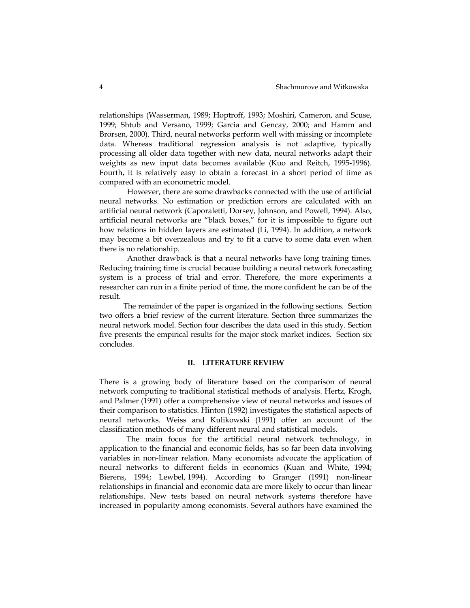relationships (Wasserman, 1989; Hoptroff, 1993; Moshiri, Cameron, and Scuse, 1999; Shtub and Versano, 1999; Garcia and Gencay, 2000; and Hamm and Brorsen, 2000). Third, neural networks perform well with missing or incomplete data. Whereas traditional regression analysis is not adaptive, typically processing all older data together with new data, neural networks adapt their weights as new input data becomes available (Kuo and Reitch, 1995-1996). Fourth, it is relatively easy to obtain a forecast in a short period of time as compared with an econometric model.

However, there are some drawbacks connected with the use of artificial neural networks. No estimation or prediction errors are calculated with an artificial neural network (Caporaletti, Dorsey, Johnson, and Powell, 1994). Also, artificial neural networks are "black boxes," for it is impossible to figure out how relations in hidden layers are estimated (Li, 1994). In addition, a network may become a bit overzealous and try to fit a curve to some data even when there is no relationship.

Another drawback is that a neural networks have long training times. Reducing training time is crucial because building a neural network forecasting system is a process of trial and error. Therefore, the more experiments a researcher can run in a finite period of time, the more confident he can be of the result.

 The remainder of the paper is organized in the following sections. Section two offers a brief review of the current literature. Section three summarizes the neural network model. Section four describes the data used in this study. Section five presents the empirical results for the major stock market indices. Section six concludes.

#### **II. LITERATURE REVIEW**

There is a growing body of literature based on the comparison of neural network computing to traditional statistical methods of analysis. Hertz, Krogh, and Palmer (1991) offer a comprehensive view of neural networks and issues of their comparison to statistics. Hinton (1992) investigates the statistical aspects of neural networks. Weiss and Kulikowski (1991) offer an account of the classification methods of many different neural and statistical models.

The main focus for the artificial neural network technology, in application to the financial and economic fields, has so far been data involving variables in non-linear relation. Many economists advocate the application of neural networks to different fields in economics (Kuan and White, 1994; Bierens, 1994; Lewbel, 1994). According to Granger (1991) non-linear relationships in financial and economic data are more likely to occur than linear relationships. New tests based on neural network systems therefore have increased in popularity among economists. Several authors have examined the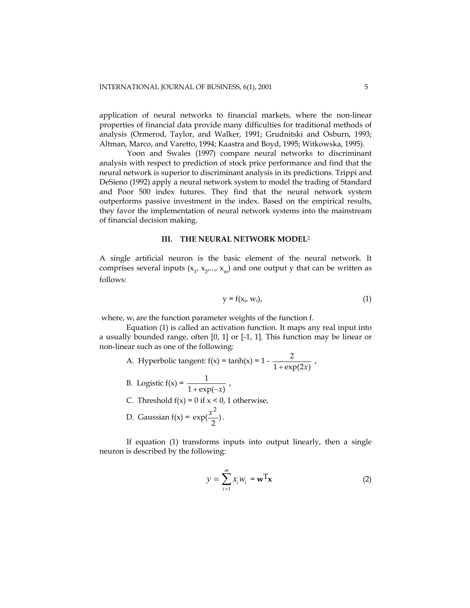application of neural networks to financial markets, where the non-linear properties of financial data provide many difficulties for traditional methods of analysis (Ormerod, Taylor, and Walker, 1991; Grudnitski and Osburn, 1993; Altman, Marco, and Varetto, 1994; Kaastra and Boyd, 1995; Witkowska, 1995).

Yoon and Swales (1997) compare neural networks to discriminant analysis with respect to prediction of stock price performance and find that the neural network is superior to discriminant analysis in its predictions. Trippi and DeSieno (1992) apply a neural network system to model the trading of Standard and Poor 500 index futures. They find that the neural network system outperforms passive investment in the index. Based on the empirical results, they favor the implementation of neural network systems into the mainstream of financial decision making.

#### **III. THE NEURAL NETWORK MODEL**<sup>2</sup>

A single artificial neuron is the basic element of the neural network. It comprises several inputs  $(x_1, x_2, ..., x_m)$  and one output y that can be written as follows:

$$
y = f(x_i, w_i), \tag{1}
$$

where,  $w_i$  are the function parameter weights of the function f.

Equation (1) is called an activation function. It maps any real input into a usually bounded range, often [0, 1] or [-1, 1]. This function may be linear or non-linear such as one of the following:

A. Hyperbolic tangent:  $f(x) = \tanh(x) = 1 - \frac{2}{1 + \exp(2x)}$ , B. Logistic  $f(x) = \frac{1}{1 + \exp(-x)}$ , C. Threshold  $f(x) = 0$  if  $x < 0$ , 1 otherwise, D. Gaussian  $f(x) = \exp(\frac{x^2}{2})$ .

If equation (1) transforms inputs into output linearly, then a single neuron is described by the following:

$$
y = \sum_{i=1}^{m} x_i w_i = \mathbf{w}^T \mathbf{x}
$$
 (2)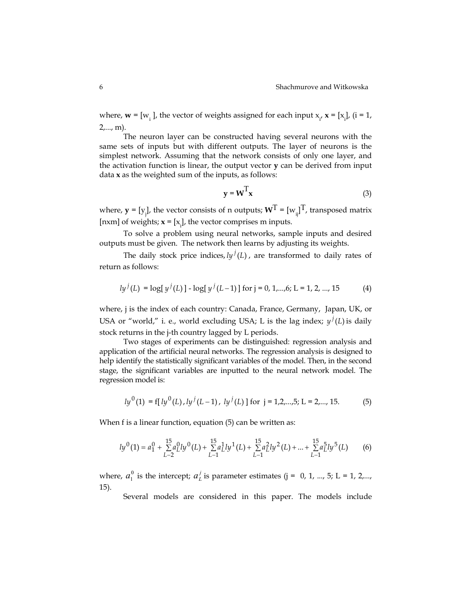where,  $\mathbf{w} = [w_i]$ , the vector of weights assigned for each input  $x_i$ ,  $\mathbf{x} = [x_i]$ , (i = 1, 2,..., m).

The neuron layer can be constructed having several neurons with the same sets of inputs but with different outputs. The layer of neurons is the simplest network. Assuming that the network consists of only one layer, and the activation function is linear, the output vector **y** can be derived from input data **x** as the weighted sum of the inputs, as follows:

$$
y = WTx
$$
 (3)

where,  $\mathbf{y} = [y_j]$ , the vector consists of n outputs;  $\mathbf{W}^T = [w_{ij}]^T$ , transposed matrix [ $nxm$ ] of weights;  $x = [x_1]$ , the vector comprises m inputs.

To solve a problem using neural networks, sample inputs and desired outputs must be given. The network then learns by adjusting its weights.

The daily stock price indices,  $ly^{j}(L)$ , are transformed to daily rates of return as follows:

$$
ly^{j}(L) = \log[y^{j}(L)] - \log[y^{j}(L-1)] \text{ for } j = 0, 1, ..., 6; L = 1, 2, ..., 15
$$
 (4)

where, j is the index of each country: Canada, France, Germany, Japan, UK, or USA or "world," i. e., world excluding USA; L is the lag index;  $y^{j}(L)$  is daily stock returns in the j-th country lagged by L periods.

Two stages of experiments can be distinguished: regression analysis and application of the artificial neural networks. The regression analysis is designed to help identify the statistically significant variables of the model. Then, in the second stage, the significant variables are inputted to the neural network model. The regression model is:

$$
ly^{0}(1) = f[y^{0}(L), ly^{j}(L-1), ly^{j}(L)] \text{ for } j = 1, 2, ..., 5; L = 2, ..., 15.
$$
 (5)

When f is a linear function, equation (5) can be written as:

$$
ly^{0}(1) = a_{1}^{0} + \sum_{L=2}^{15} a_{L}^{0}ly^{0}(L) + \sum_{L=1}^{15} a_{L}^{1}ly^{1}(L) + \sum_{L=1}^{15} a_{L}^{2}ly^{2}(L) + ... + \sum_{L=1}^{15} a_{L}^{5}ly^{5}(L)
$$
 (6)

where,  $a_1^0$  is the intercept;  $a_L^j$  is parameter estimates (j = 0, 1, ..., 5; L = 1, 2,..., 15). 0 *L j*

Several models are considered in this paper. The models include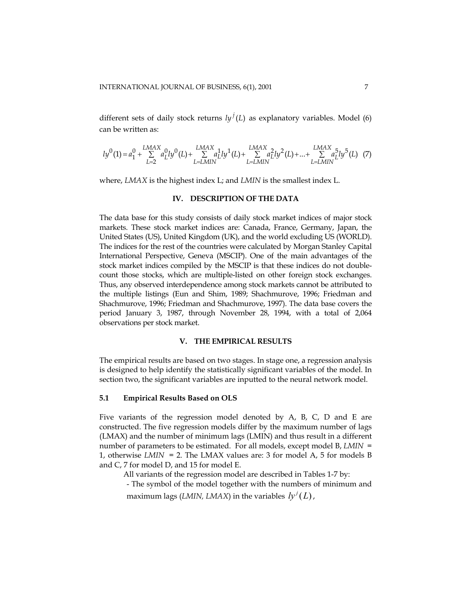different sets of daily stock returns  $ly^{j}(L)$  as explanatory variables. Model (6) can be written as:

$$
ly^{0}(1)=a_{1}^{0}+\sum_{L=2}^{LMAX}a_{L}^{0}ly^{0}(L)+\sum_{L=LMIN}^{LMAX}a_{L}^{1}ly^{1}(L)+\sum_{L=LMIN}^{LMAX}a_{L}^{2}ly^{2}(L)+...+\sum_{L=LMIN}^{LMAX}a_{L}^{5}ly^{5}(L) \tag{7}
$$

where, *LMAX* is the highest index L; and *LMIN* is the smallest index L.

# **IV. DESCRIPTION OF THE DATA**

The data base for this study consists of daily stock market indices of major stock markets. These stock market indices are: Canada, France, Germany, Japan, the United States (US), United Kingdom (UK), and the world excluding US (WORLD). The indices for the rest of the countries were calculated by Morgan Stanley Capital International Perspective, Geneva (MSCIP). One of the main advantages of the stock market indices compiled by the MSCIP is that these indices do not doublecount those stocks, which are multiple-listed on other foreign stock exchanges. Thus, any observed interdependence among stock markets cannot be attributed to the multiple listings (Eun and Shim, 1989; Shachmurove, 1996; Friedman and Shachmurove, 1996; Friedman and Shachmurove, 1997). The data base covers the period January 3, 1987, through November 28, 1994, with a total of 2,064 observations per stock market.

## **V. THE EMPIRICAL RESULTS**

The empirical results are based on two stages. In stage one, a regression analysis is designed to help identify the statistically significant variables of the model. In section two, the significant variables are inputted to the neural network model.

#### **5.1 Empirical Results Based on OLS**

Five variants of the regression model denoted by A, B, C, D and E are constructed. The five regression models differ by the maximum number of lags (LMAX) and the number of minimum lags (LMIN) and thus result in a different number of parameters to be estimated. For all models, except model B, *LMIN* = 1, otherwise *LMIN* = 2. The LMAX values are: 3 for model A, 5 for models B and C, 7 for model D, and 15 for model E.

All variants of the regression model are described in Tables 1-7 by:

- The symbol of the model together with the numbers of minimum and maximum lags (*LMIN*, *LMAX*) in the variables  $ly^{j}(L)$ ,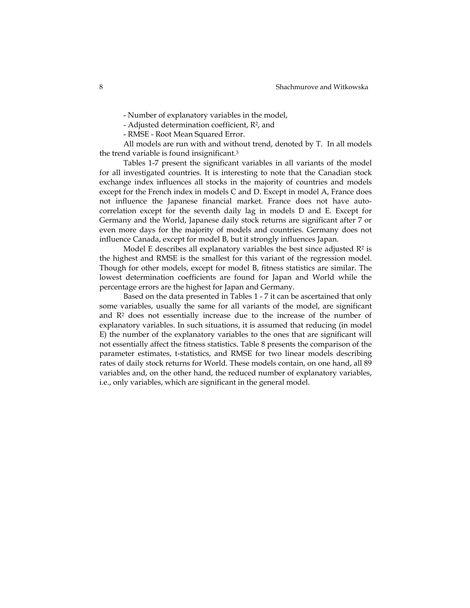- Number of explanatory variables in the model,

- Adjusted determination coefficient, R2, and

- RMSE - Root Mean Squared Error.

 All models are run with and without trend, denoted by T. In all models the trend variable is found insignificant.3

 Tables 1-7 present the significant variables in all variants of the model for all investigated countries. It is interesting to note that the Canadian stock exchange index influences all stocks in the majority of countries and models except for the French index in models C and D. Except in model A, France does not influence the Japanese financial market. France does not have autocorrelation except for the seventh daily lag in models D and E. Except for Germany and the World, Japanese daily stock returns are significant after 7 or even more days for the majority of models and countries. Germany does not influence Canada, except for model B, but it strongly influences Japan.

Model E describes all explanatory variables the best since adjusted  $R^2$  is the highest and RMSE is the smallest for this variant of the regression model. Though for other models, except for model B, fitness statistics are similar. The lowest determination coefficients are found for Japan and World while the percentage errors are the highest for Japan and Germany.

 Based on the data presented in Tables 1 - 7 it can be ascertained that only some variables, usually the same for all variants of the model, are significant and  $R<sup>2</sup>$  does not essentially increase due to the increase of the number of explanatory variables. In such situations, it is assumed that reducing (in model E) the number of the explanatory variables to the ones that are significant will not essentially affect the fitness statistics. Table 8 presents the comparison of the parameter estimates, t-statistics, and RMSE for two linear models describing rates of daily stock returns for World. These models contain, on one hand, all 89 variables and, on the other hand, the reduced number of explanatory variables, i.e., only variables, which are significant in the general model.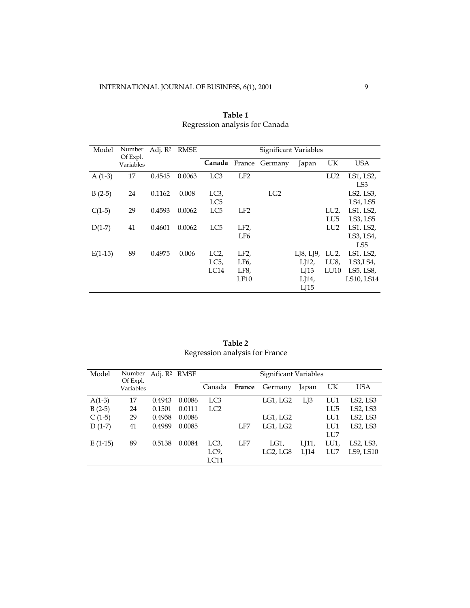| Model     | Number<br>Of Expl. | Adj. $R^2$ | <b>RMSE</b> | <b>Significant Variables</b> |                 |                |           |                 |                 |
|-----------|--------------------|------------|-------------|------------------------------|-----------------|----------------|-----------|-----------------|-----------------|
|           | Variables          |            |             | Canada                       |                 | France Germany | Japan     | UK              | <b>USA</b>      |
| $A(1-3)$  | 17                 | 0.4545     | 0.0063      | LC <sub>3</sub>              | LF2             |                |           | LU <sub>2</sub> | LS1, LS2,       |
|           |                    |            |             |                              |                 |                |           |                 | LS <sub>3</sub> |
| $B(2-5)$  | 24                 | 0.1162     | 0.008       | LC3,                         |                 | LG2            |           |                 | LS2, LS3,       |
|           |                    |            |             | LC <sub>5</sub>              |                 |                |           |                 | LS4, LS5        |
| $C(1-5)$  | 29                 | 0.4593     | 0.0062      | LC <sub>5</sub>              | LF2             |                |           | LU <sub>2</sub> | LS1, LS2,       |
|           |                    |            |             |                              |                 |                |           | LU <sub>5</sub> | LS3, LS5        |
| $D(1-7)$  | 41                 | 0.4601     | 0.0062      | LC <sub>5</sub>              | $LF2$ ,         |                |           | LU2             | LS1, LS2,       |
|           |                    |            |             |                              | LF6             |                |           |                 | LS3, LS4,       |
|           |                    |            |             |                              |                 |                |           |                 | LS5             |
| $E(1-15)$ | 89                 | 0.4975     | 0.006       | LC2                          | LF <sub>2</sub> |                | LJ8, LJ9, | LU <sub>2</sub> | LS1, LS2,       |
|           |                    |            |             | LC5,                         | LF <sub>6</sub> |                | LJ12,     | LU8,            | LS3,LS4,        |
|           |                    |            |             | LC14                         | LF8,            |                | LJ13      | LU10            | LS5, LS8,       |
|           |                    |            |             |                              | LF10            |                | LJ14,     |                 | LS10, LS14      |
|           |                    |            |             |                              |                 |                | $L$ [15   |                 |                 |

**Table 1**  Regression analysis for Canada

| Table 2                        |  |
|--------------------------------|--|
| Regression analysis for France |  |

| Model     | Number<br>Of Expl. | Adj. R <sup>2</sup> RMSE |        |                 |        | Significant Variables |       |                 |           |
|-----------|--------------------|--------------------------|--------|-----------------|--------|-----------------------|-------|-----------------|-----------|
|           | Variables          |                          |        | Canada          | France | Germany               | Japan | UK              | USA       |
| $A(1-3)$  | 17                 | 0.4943                   | 0.0086 | LC <sub>3</sub> |        | LG1, LG2              | LJ3   | LU1             | LS2, LS3  |
| $B(2-5)$  | 24                 | 0.1501                   | 0.0111 | LC2             |        |                       |       | LU <sub>5</sub> | LS2, LS3  |
| $C(1-5)$  | 29                 | 0.4958                   | 0.0086 |                 |        | LG1, LG2              |       | LU1             | LS2, LS3  |
| $D(1-7)$  | 41                 | 0.4989                   | 0.0085 |                 | LF7    | LG1, LG2              |       | LU1             | LS2, LS3  |
|           |                    |                          |        |                 |        |                       |       | LU7             |           |
| $E(1-15)$ | 89                 | 0.5138                   | 0.0084 | LC3,            | LF7    | LG1,                  | LJ11, | LU1,            | LS2, LS3, |
|           |                    |                          |        | LC9,            |        | LG2, LG8              | LJ14  | LU7             | LS9, LS10 |
|           |                    |                          |        | LC11            |        |                       |       |                 |           |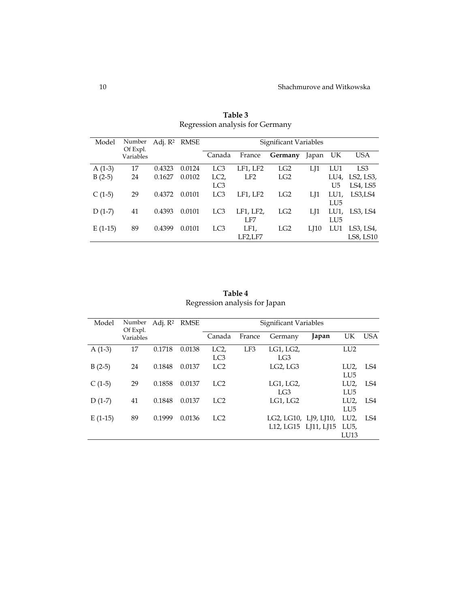| Model     | Number<br>Of Expl. | Adj. R <sup>2</sup> | <b>RMSE</b> |                 | <b>Significant Variables</b> |         |       |                 |                 |  |  |
|-----------|--------------------|---------------------|-------------|-----------------|------------------------------|---------|-------|-----------------|-----------------|--|--|
|           | Variables          |                     |             | Canada          | France                       | Germany | Japan | UK              | <b>USA</b>      |  |  |
| $A(1-3)$  | 17                 | 0.4323              | 0.0124      | LC <sub>3</sub> | LF1, LF2                     | LG2     | LJ1   | LU1             | LS <sub>3</sub> |  |  |
| $B(2-5)$  | 24                 | 0.1627              | 0.0102      | LC2             | LF2                          | LG2     |       |                 | LU4, LS2, LS3,  |  |  |
|           |                    |                     |             | LC <sub>3</sub> |                              |         |       | U <sub>5</sub>  | LS4, LS5        |  |  |
| $C(1-5)$  | 29                 | 0.4372              | 0.0101      | LC <sub>3</sub> | LF1, LF2                     | LG2     | LJ1   | LU1,            | LS3,LS4         |  |  |
|           |                    |                     |             |                 |                              |         |       | LU <sub>5</sub> |                 |  |  |
| $D(1-7)$  | 41                 | 0.4393              | 0.0101      | LC <sub>3</sub> | LF1, LF2,                    | LG2     | LJ1   | LU1,            | LS3, LS4        |  |  |
|           |                    |                     |             |                 | LF7                          |         |       | LU5             |                 |  |  |
| $E(1-15)$ | 89                 | 0.4399              | 0.0101      | LC <sub>3</sub> | LF1,                         | LG2     | LI10  | LU1             | LS3, LS4,       |  |  |
|           |                    |                     |             |                 | LF2,LF7                      |         |       |                 | LS8, LS10       |  |  |

**Table 3**  Regression analysis for Germany

**Table 4**  Regression analysis for Japan

| Model     | Number                | Adj. $R^2$ | <b>RMSE</b> |                 |        | Significant Variables |       |                 |            |
|-----------|-----------------------|------------|-------------|-----------------|--------|-----------------------|-------|-----------------|------------|
|           | Of Expl.<br>Variables |            |             | Canada          | France | Germany               | Japan | UK.             | <b>USA</b> |
| $A(1-3)$  | 17                    | 0.1718     | 0.0138      | LC <sub>2</sub> | LF3    | LG1, LG2,             |       | LU2             |            |
|           |                       |            |             | LC <sub>3</sub> |        | LG3                   |       |                 |            |
| $B(2-5)$  | 24                    | 0.1848     | 0.0137      | LC2             |        | LG2, LG3              |       | LU <sub>2</sub> | LS4        |
|           |                       |            |             |                 |        |                       |       | LU5             |            |
| $C(1-5)$  | 29                    | 0.1858     | 0.0137      | LC <sub>2</sub> |        | LG1, LG2,             |       | $LU2$ ,         | LS4        |
|           |                       |            |             |                 |        | LG3                   |       | LU <sub>5</sub> |            |
| $D(1-7)$  | 41                    | 0.1848     | 0.0137      | LC <sub>2</sub> |        | LG1, LG2              |       | $LU2$ ,         | LS4        |
|           |                       |            |             |                 |        |                       |       | LU <sub>5</sub> |            |
| $E(1-15)$ | 89                    | 0.1999     | 0.0136      | LC <sub>2</sub> |        | LG2, LG10, LJ9, LJ10, |       | LU2,            | LS4        |
|           |                       |            |             |                 |        | L12, LG15 LJ11, LJ15  |       | LU5,            |            |
|           |                       |            |             |                 |        |                       |       | LU13            |            |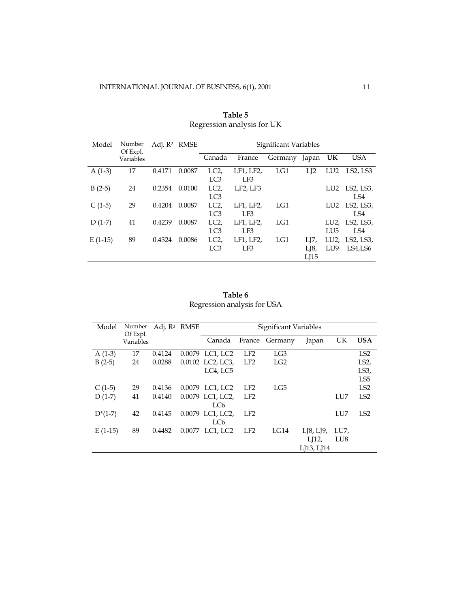| Model     | Number<br>Of Expl. | Adj. $R^2$ | <b>RMSE</b> | Significant Variables |                                   |         |                  |                 |                  |
|-----------|--------------------|------------|-------------|-----------------------|-----------------------------------|---------|------------------|-----------------|------------------|
|           | Variables          |            |             | Canada                | France                            | Germany | Japan            | UK              | <b>USA</b>       |
| $A(1-3)$  | 17                 | 0.4171     | 0.0087      | LC <sub>2</sub>       | LF1, LF2,                         | LG1     | L <sub>I</sub> 2 | LU2             | LS2, LS3         |
|           |                    |            |             | LC <sub>3</sub>       | LF3                               |         |                  |                 |                  |
| $B(2-5)$  | 24                 | 0.2354     | 0.0100      | LC2                   | LF <sub>2</sub> , LF <sub>3</sub> |         |                  |                 | LU2 LS2, LS3,    |
|           |                    |            |             | LC <sub>3</sub>       |                                   |         |                  |                 | <b>IS4</b>       |
| $C(1-5)$  | 29                 | 0.4204     | 0.0087      | LC2                   | LF1, LF2,                         | LG1     |                  | LU2             | LS2, LS3,        |
|           |                    |            |             | LC <sub>3</sub>       | LF3                               |         |                  |                 | <b>IS4</b>       |
| $D(1-7)$  | 41                 | 0.4239     | 0.0087      | LC2                   | LF1, LF2,                         | LG1     |                  |                 | LU2, LS2, LS3,   |
|           |                    |            |             | LC <sub>3</sub>       | LF3                               |         |                  | LU <sub>5</sub> | I S <sub>4</sub> |
| $E(1-15)$ | 89                 | 0.4324     | 0.0086      | LC2                   | LF1, LF2,                         | LG1     | LI7,             | LU2,            | LS2, LS3,        |
|           |                    |            |             | LC <sub>3</sub>       | LF3                               |         | L[8,             | LU <sub>9</sub> | LS4,LS6          |
|           |                    |            |             |                       |                                   |         | LJ15             |                 |                  |

**Table 5**  Regression analysis for UK

**Table 6**  Regression analysis for USA

| Model      | Number<br>Of Expl. | Adj. R <sup>2</sup> RMSE |                  |                 | Significant Variables |            |                 |                 |
|------------|--------------------|--------------------------|------------------|-----------------|-----------------------|------------|-----------------|-----------------|
|            | Variables          |                          | Canada           |                 | France Germany        | Japan      | <b>UK</b>       | <b>USA</b>      |
| $A(1-3)$   | 17                 | 0.4124                   | 0.0079 LC1, LC2  | LF2             | LG3                   |            |                 | LS <sub>2</sub> |
| $B(2-5)$   | 24                 | 0.0288                   | 0.0102 LC2, LC3, | LF <sub>2</sub> | LG2                   |            |                 | LS2,            |
|            |                    |                          | LC4. LC5         |                 |                       |            |                 | LS3,            |
|            |                    |                          |                  |                 |                       |            |                 | LS <sub>5</sub> |
| $C(1-5)$   | 29                 | 0.4136                   | 0.0079 LC1, LC2  | LE2             | LG5                   |            |                 | <b>LS2</b>      |
| $D(1-7)$   | 41                 | 0.4140                   | 0.0079 LC1, LC2, | LF2             |                       |            | LU7             | LS <sub>2</sub> |
|            |                    |                          | LC6              |                 |                       |            |                 |                 |
| $D^*(1-7)$ | 42                 | 0.4145                   | 0.0079 LC1, LC2, | LE2             |                       |            | LU <sub>7</sub> | <b>LS2</b>      |
|            |                    |                          | LC <sub>6</sub>  |                 |                       |            |                 |                 |
| $E(1-15)$  | 89                 | 0.4482                   | 0.0077 LC1, LC2  | LF <sub>2</sub> | LG14                  | LJ8, LJ9,  | LU7,            |                 |
|            |                    |                          |                  |                 |                       | L[12,      | LU8             |                 |
|            |                    |                          |                  |                 |                       | LJ13, LJ14 |                 |                 |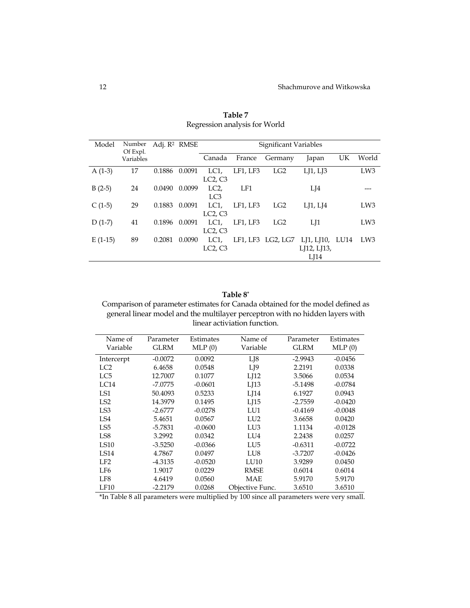| Model     | Number<br>Of Expl. | Adj. R <sup>2</sup> RMSE |        |                 | Significant Variables |                 |                                    |           |                 |
|-----------|--------------------|--------------------------|--------|-----------------|-----------------------|-----------------|------------------------------------|-----------|-----------------|
|           | Variables          |                          |        | Canada          | France                | Germany         | Japan                              | <b>UK</b> | World           |
| $A(1-3)$  | 17                 | 0.1886                   | 0.0091 | LC1             | LF1, LF3              | LG <sub>2</sub> | L <sub>I</sub> 1, L <sub>I</sub> 3 |           | LW <sub>3</sub> |
|           |                    |                          |        | LC2, C3         |                       |                 |                                    |           |                 |
| $B(2-5)$  | 24                 | 0.0490                   | 0.0099 | LC <sub>2</sub> | LF1                   |                 | LJ4                                |           |                 |
|           |                    |                          |        | LC <sub>3</sub> |                       |                 |                                    |           |                 |
| $C(1-5)$  | 29                 | 0.1883                   | 0.0091 | LC1             | LF1. LF3              | LG2             | L[1, L[4]                          |           | LW <sub>3</sub> |
|           |                    |                          |        | LC2, C3         |                       |                 |                                    |           |                 |
| $D(1-7)$  | 41                 | 0.1896                   | 0.0091 | LC1             | LF1, LF3              | LG2             | LI1                                |           | LW <sub>3</sub> |
|           |                    |                          |        | LC2, C3         |                       |                 |                                    |           |                 |
| $E(1-15)$ | 89                 | 0.2081                   | 0.0090 | LC1,            | LF1, LF3              | LG2, LG7        | LJ1, LJ10, LU14                    |           | LW3             |
|           |                    |                          |        | LC2, C3         |                       |                 | LJ12, LJ13,                        |           |                 |
|           |                    |                          |        |                 |                       |                 | LJ14                               |           |                 |

**Table 7**  Regression analysis for World

#### **Table 8\***

Comparison of parameter estimates for Canada obtained for the model defined as general linear model and the multilayer perceptron with no hidden layers with linear activiation function.

| Name of         | Parameter | Estimates | Name of         | Parameter   | Estimates |
|-----------------|-----------|-----------|-----------------|-------------|-----------|
| Variable        | GLRM      | MLP(0)    | Variable        | <b>GLRM</b> | MLP(0)    |
|                 |           |           |                 |             |           |
| Intercerpt      | $-0.0072$ | 0.0092    | L[8]            | $-2.9943$   | $-0.0456$ |
| LC <sub>2</sub> | 6.4658    | 0.0548    | LJ9             | 2.2191      | 0.0338    |
| LC5             | 12.7007   | 0.1077    | LJ12            | 3.5066      | 0.0534    |
| LC14            | $-7.0775$ | $-0.0601$ | LJ13            | $-5.1498$   | $-0.0784$ |
| LS1             | 50.4093   | 0.5233    | LJ14            | 6.1927      | 0.0943    |
| LS <sub>2</sub> | 14.3979   | 0.1495    | $L$ [15         | $-2.7559$   | $-0.0420$ |
| LS3             | $-2.6777$ | $-0.0278$ | LU1             | $-0.4169$   | $-0.0048$ |
| LS4             | 5.4651    | 0.0567    | LU <sub>2</sub> | 3.6658      | 0.0420    |
| LS5             | $-5.7831$ | $-0.0600$ | LU3             | 1.1134      | $-0.0128$ |
| LS8             | 3.2992    | 0.0342    | LU4             | 2.2438      | 0.0257    |
| LS10            | $-3.5250$ | $-0.0366$ | LU5             | $-0.6311$   | $-0.0722$ |
| <b>LS14</b>     | 4.7867    | 0.0497    | LU8             | $-3.7207$   | $-0.0426$ |
| LF2             | $-4.3135$ | $-0.0520$ | LU10            | 3.9289      | 0.0450    |
| LF6             | 1.9017    | 0.0229    | <b>RMSE</b>     | 0.6014      | 0.6014    |
| LF8             | 4.6419    | 0.0560    | MAE             | 5.9170      | 5.9170    |
| LF10            | $-2.2179$ | 0.0268    | Objective Func. | 3.6510      | 3.6510    |

\*In Table 8 all parameters were multiplied by 100 since all parameters were very small.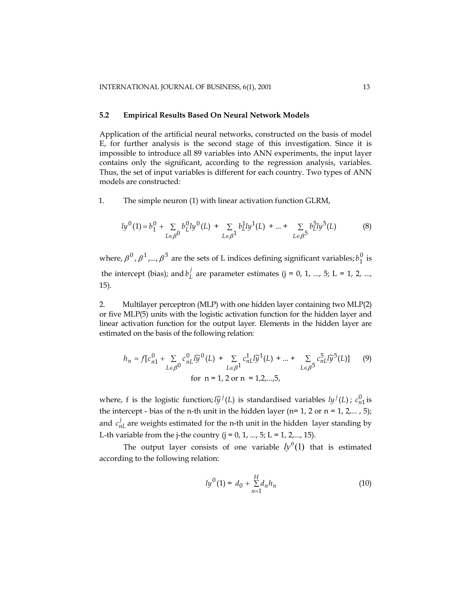#### **5.2 Empirical Results Based On Neural Network Models**

Application of the artificial neural networks, constructed on the basis of model E, for further analysis is the second stage of this investigation. Since it is impossible to introduce all 89 variables into ANN experiments, the input layer contains only the significant, according to the regression analysis, variables. Thus, the set of input variables is different for each country. Two types of ANN models are constructed:

1. The simple neuron (1) with linear activation function GLRM,

$$
ly^{0}(1) = b_{1}^{0} + \sum_{L \in \beta^{0}} b_{L}^{0}ly^{0}(L) + \sum_{L \in \beta^{1}} b_{L}^{1}ly^{1}(L) + ... + \sum_{L \in \beta^{5}} b_{L}^{5}ly^{5}(L)
$$
(8)

where,  $\beta^0$ ,  $\beta^1$ ,...,  $\beta^5$  are the sets of L indices defining significant variables;  $b_1^0$  is the intercept (bias); and  $b<sub>L</sub><sup>j</sup>$  are parameter estimates (j = 0, 1, ..., 5; L = 1, 2, ..., 15).

2. Multilayer perceptron (MLP) with one hidden layer containing two MLP(2) or five MLP(5) units with the logistic activation function for the hidden layer and linear activation function for the output layer. Elements in the hidden layer are estimated on the basis of the following relation:

$$
h_n = f[c_{n1}^0 + \sum_{L \in \beta^0} c_{nL}^0 \tilde{y}^0(L) + \sum_{L \in \beta^1} c_{nL}^1 \tilde{y}^1(L) + \dots + \sum_{L \in \beta^5} c_{nL}^5 \tilde{y}^5(L)] \tag{9}
$$
  
for n = 1, 2 or n = 1,2,...,5,

where, f is the logistic function;  $l\widetilde{y}^j(L)$  is standardised variables  $ly^j(L)$ ;  $c_{n1}^0$  is the intercept - bias of the n-th unit in the hidden layer ( $n=1, 2$  or  $n=1, 2,..., 5$ ); and  $c_{nL}^{j}$  are weights estimated for the n-th unit in the hidden layer standing by L-th variable from the j-the country  $(j = 0, 1, ..., 5; L = 1, 2, ..., 15)$ . *nL*

The output layer consists of one variable  $ly^0(1)$  that is estimated according to the following relation:

$$
ly^{0}(1) = d_{0} + \sum_{n=1}^{H} d_{n} h_{n}
$$
\n(10)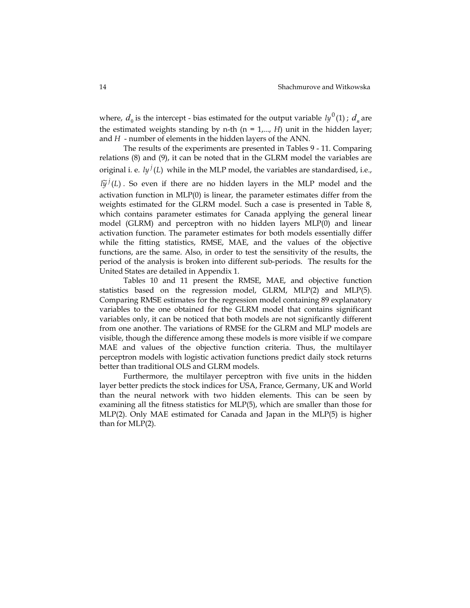where,  $d_0$  is the intercept - bias estimated for the output variable *ly*<sup>0</sup>(1);  $d_n$  are the estimated weights standing by n-th  $(n = 1,..., H)$  unit in the hidden layer; and *H* - number of elements in the hidden layers of the ANN.

The results of the experiments are presented in Tables 9 - 11. Comparing relations (8) and (9), it can be noted that in the GLRM model the variables are original i. e.  $ly^{j}(L)$  while in the MLP model, the variables are standardised, i.e.,  $\partial \tilde{y}^j(L)$ . So even if there are no hidden layers in the MLP model and the activation function in MLP(0) is linear, the parameter estimates differ from the weights estimated for the GLRM model. Such a case is presented in Table 8, which contains parameter estimates for Canada applying the general linear model (GLRM) and perceptron with no hidden layers MLP(0) and linear activation function. The parameter estimates for both models essentially differ while the fitting statistics, RMSE, MAE, and the values of the objective functions, are the same. Also, in order to test the sensitivity of the results, the period of the analysis is broken into different sub-periods. The results for the United States are detailed in Appendix 1.

Tables 10 and 11 present the RMSE, MAE, and objective function statistics based on the regression model, GLRM, MLP(2) and MLP(5). Comparing RMSE estimates for the regression model containing 89 explanatory variables to the one obtained for the GLRM model that contains significant variables only, it can be noticed that both models are not significantly different from one another. The variations of RMSE for the GLRM and MLP models are visible, though the difference among these models is more visible if we compare MAE and values of the objective function criteria. Thus, the multilayer perceptron models with logistic activation functions predict daily stock returns better than traditional OLS and GLRM models.

Furthermore, the multilayer perceptron with five units in the hidden layer better predicts the stock indices for USA, France, Germany, UK and World than the neural network with two hidden elements. This can be seen by examining all the fitness statistics for MLP(5), which are smaller than those for MLP(2). Only MAE estimated for Canada and Japan in the MLP(5) is higher than for MLP(2).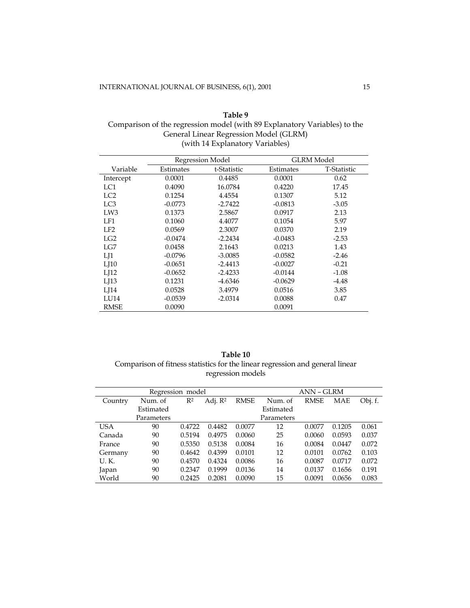# **Table 9**  Comparison of the regression model (with 89 Explanatory Variables) to the General Linear Regression Model (GLRM) (with 14 Explanatory Variables)

|                 |           | Regression Model |           | <b>GLRM</b> Model |
|-----------------|-----------|------------------|-----------|-------------------|
| Variable        | Estimates | t-Statistic      | Estimates | T-Statistic       |
| Intercept       | 0.0001    | 0.4485           | 0.0001    | 0.62              |
| LC1             | 0.4090    | 16.0784          | 0.4220    | 17.45             |
| LC <sub>2</sub> | 0.1254    | 4.4554           | 0.1307    | 5.12              |
| LC <sub>3</sub> | $-0.0773$ | $-2.7422$        | $-0.0813$ | $-3.05$           |
| LW3             | 0.1373    | 2.5867           | 0.0917    | 2.13              |
| LF1             | 0.1060    | 4.4077           | 0.1054    | 5.97              |
| LE2             | 0.0569    | 2.3007           | 0.0370    | 2.19              |
| LG2             | $-0.0474$ | $-2.2434$        | $-0.0483$ | $-2.53$           |
| LG7             | 0.0458    | 2.1643           | 0.0213    | 1.43              |
| LJ1             | $-0.0796$ | $-3.0085$        | $-0.0582$ | $-2.46$           |
| LJ10            | $-0.0651$ | $-2.4413$        | $-0.0027$ | $-0.21$           |
| LJ12            | $-0.0652$ | $-2.4233$        | $-0.0144$ | $-1.08$           |
| LJ13            | 0.1231    | -4.6346          | $-0.0629$ | $-4.48$           |
| LJ14            | 0.0528    | 3.4979           | 0.0516    | 3.85              |
| LU14            | $-0.0539$ | $-2.0314$        | 0.0088    | 0.47              |
| <b>RMSE</b>     | 0.0090    |                  | 0.0091    |                   |

# **Table 10**  Comparison of fitness statistics for the linear regression and general linear regression models

|            |            | Regression model | <b>ANN - GLRM</b>   |             |            |             |        |         |
|------------|------------|------------------|---------------------|-------------|------------|-------------|--------|---------|
| Country    | Num. of    | $R^2$            | Adj. R <sup>2</sup> | <b>RMSE</b> | Num. of    | <b>RMSE</b> | MAE    | Obj. f. |
|            | Estimated  |                  |                     |             | Estimated  |             |        |         |
|            | Parameters |                  |                     |             | Parameters |             |        |         |
| <b>USA</b> | 90         | 0.4722           | 0.4482              | 0.0077      | 12         | 0.0077      | 0.1205 | 0.061   |
| Canada     | 90         | 0.5194           | 0.4975              | 0.0060      | 25         | 0.0060      | 0.0593 | 0.037   |
| France     | 90         | 0.5350           | 0.5138              | 0.0084      | 16         | 0.0084      | 0.0447 | 0.072   |
| Germany    | 90         | 0.4642           | 0.4399              | 0.0101      | 12         | 0.0101      | 0.0762 | 0.103   |
| U.K.       | 90         | 0.4570           | 0.4324              | 0.0086      | 16         | 0.0087      | 0.0717 | 0.072   |
| Japan      | 90         | 0.2347           | 0.1999              | 0.0136      | 14         | 0.0137      | 0.1656 | 0.191   |
| World      | 90         | 0.2425           | 0.2081              | 0.0090      | 15         | 0.0091      | 0.0656 | 0.083   |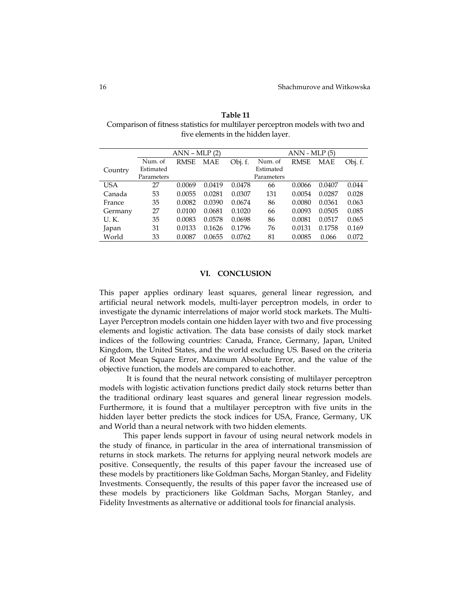| Table 11                                                                       |
|--------------------------------------------------------------------------------|
| Comparison of fitness statistics for multilayer perceptron models with two and |
| five elements in the hidden layer.                                             |

**Table 11** 

|            | $ANN - MLP(2)$ |             |        |            | $ANN - MLP(5)$ |             |        |         |  |  |
|------------|----------------|-------------|--------|------------|----------------|-------------|--------|---------|--|--|
|            | Num. of        | <b>RMSE</b> | MAE    | Obj. f.    | Num. of        | <b>RMSE</b> | MAE    | Obj. f. |  |  |
| Country    | Estimated      |             |        |            | Estimated      |             |        |         |  |  |
|            | Parameters     |             |        | Parameters |                |             |        |         |  |  |
| <b>USA</b> | 27             | 0.0069      | 0.0419 | 0.0478     | 66             | 0.0066      | 0.0407 | 0.044   |  |  |
| Canada     | 53             | 0.0055      | 0.0281 | 0.0307     | 131            | 0.0054      | 0.0287 | 0.028   |  |  |
| France     | 35             | 0.0082      | 0.0390 | 0.0674     | 86             | 0.0080      | 0.0361 | 0.063   |  |  |
| Germany    | 27             | 0.0100      | 0.0681 | 0.1020     | 66             | 0.0093      | 0.0505 | 0.085   |  |  |
| U.K.       | 35             | 0.0083      | 0.0578 | 0.0698     | 86             | 0.0081      | 0.0517 | 0.065   |  |  |
| Japan      | 31             | 0.0133      | 0.1626 | 0.1796     | 76             | 0.0131      | 0.1758 | 0.169   |  |  |
| World      | 33             | 0.0087      | 0.0655 | 0.0762     | 81             | 0.0085      | 0.066  | 0.072   |  |  |
|            |                |             |        |            |                |             |        |         |  |  |

#### **VI. CONCLUSION**

This paper applies ordinary least squares, general linear regression, and artificial neural network models, multi-layer perceptron models, in order to investigate the dynamic interrelations of major world stock markets. The Multi-Layer Perceptron models contain one hidden layer with two and five processing elements and logistic activation. The data base consists of daily stock market indices of the following countries: Canada, France, Germany, Japan, United Kingdom, the United States, and the world excluding US. Based on the criteria of Root Mean Square Error, Maximum Absolute Error, and the value of the objective function, the models are compared to eachother.

It is found that the neural network consisting of multilayer perceptron models with logistic activation functions predict daily stock returns better than the traditional ordinary least squares and general linear regression models. Furthermore, it is found that a multilayer perceptron with five units in the hidden layer better predicts the stock indices for USA, France, Germany, UK and World than a neural network with two hidden elements.

 This paper lends support in favour of using neural network models in the study of finance, in particular in the area of international transmission of returns in stock markets. The returns for applying neural network models are positive. Consequently, the results of this paper favour the increased use of these models by practitioners like Goldman Sachs, Morgan Stanley, and Fidelity Investments. Consequently, the results of this paper favor the increased use of these models by practicioners like Goldman Sachs, Morgan Stanley, and Fidelity Investments as alternative or additional tools for financial analysis.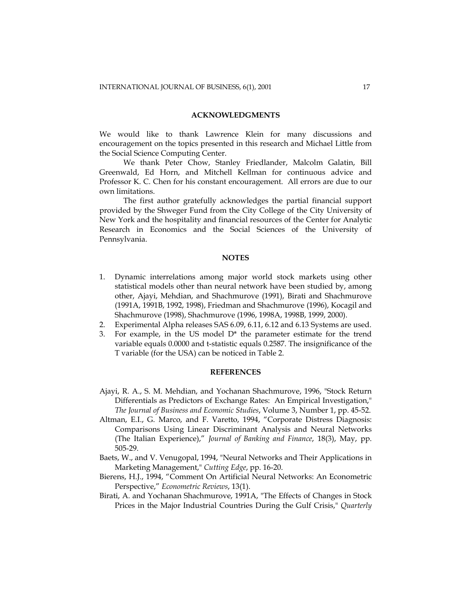### **ACKNOWLEDGMENTS**

We would like to thank Lawrence Klein for many discussions and encouragement on the topics presented in this research and Michael Little from the Social Science Computing Center.

We thank Peter Chow, Stanley Friedlander, Malcolm Galatin, Bill Greenwald, Ed Horn, and Mitchell Kellman for continuous advice and Professor K. C. Chen for his constant encouragement. All errors are due to our own limitations.

The first author gratefully acknowledges the partial financial support provided by the Shweger Fund from the City College of the City University of New York and the hospitality and financial resources of the Center for Analytic Research in Economics and the Social Sciences of the University of Pennsylvania.

# **NOTES**

- 1. Dynamic interrelations among major world stock markets using other statistical models other than neural network have been studied by, among other, Ajayi, Mehdian, and Shachmurove (1991), Birati and Shachmurove (1991A, 1991B, 1992, 1998), Friedman and Shachmurove (1996), Kocagil and Shachmurove (1998), Shachmurove (1996, 1998A, 1998B, 1999, 2000).
- 2. Experimental Alpha releases SAS 6.09, 6.11, 6.12 and 6.13 Systems are used.
- 3. For example, in the US model  $D^*$  the parameter estimate for the trend variable equals 0.0000 and t-statistic equals 0.2587. The insignificance of the T variable (for the USA) can be noticed in Table 2.

# **REFERENCES**

- Ajayi, R. A., S. M. Mehdian, and Yochanan Shachmurove, 1996, "Stock Return Differentials as Predictors of Exchange Rates: An Empirical Investigation," *The Journal of Business and Economic Studies*, Volume 3, Number 1, pp. 45-52.
- Altman, E.I., G. Marco, and F. Varetto, 1994, "Corporate Distress Diagnosis: Comparisons Using Linear Discriminant Analysis and Neural Networks (The Italian Experience)," *Journal of Banking and Finance*, 18(3), May, pp. 505-29.
- Baets, W., and V. Venugopal, 1994, "Neural Networks and Their Applications in Marketing Management," *Cutting Edge*, pp. 16-20.
- Bierens, H.J., 1994, "Comment On Artificial Neural Networks: An Econometric Perspective," *Econometric Reviews*, 13(1).
- Birati, A. and Yochanan Shachmurove, 1991A, "The Effects of Changes in Stock Prices in the Major Industrial Countries During the Gulf Crisis," *Quarterly*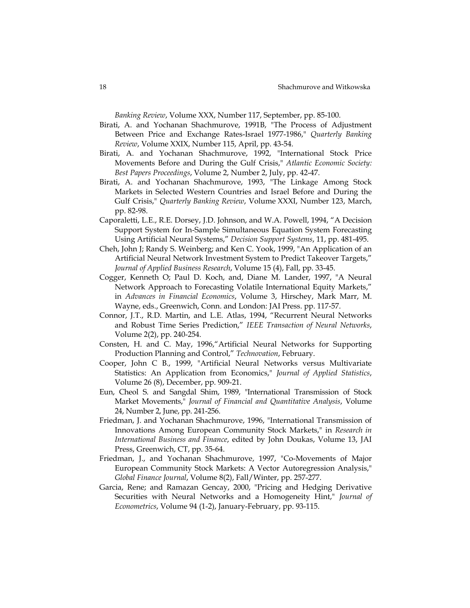*Banking Review*, Volume XXX, Number 117, September, pp. 85-100.

- Birati, A. and Yochanan Shachmurove, 1991B, "The Process of Adjustment Between Price and Exchange Rates-Israel 1977-1986," *Quarterly Banking Review*, Volume XXIX, Number 115, April, pp. 43-54.
- Birati, A. and Yochanan Shachmurove, 1992, "International Stock Price Movements Before and During the Gulf Crisis," *Atlantic Economic Society: Best Papers Proceedings*, Volume 2, Number 2, July, pp. 42-47.
- Birati, A. and Yochanan Shachmurove, 1993, "The Linkage Among Stock Markets in Selected Western Countries and Israel Before and During the Gulf Crisis," *Quarterly Banking Review*, Volume XXXI, Number 123, March, pp. 82-98.
- Caporaletti, L.E., R.E. Dorsey, J.D. Johnson, and W.A. Powell, 1994, "A Decision Support System for In-Sample Simultaneous Equation System Forecasting Using Artificial Neural Systems," *Decision Support Systems*, 11, pp. 481-495.
- Cheh, John J; Randy S. Weinberg; and Ken C. Yook, 1999, "An Application of an Artificial Neural Network Investment System to Predict Takeover Targets," *Journal of Applied Business Research*, Volume 15 (4), Fall, pp. 33-45.
- Cogger, Kenneth O; Paul D. Koch, and, Diane M. Lander, 1997, "A Neural Network Approach to Forecasting Volatile International Equity Markets," in *Advances in Financial Economics*, Volume 3, Hirschey, Mark Marr, M. Wayne, eds., Greenwich, Conn. and London: JAI Press. pp. 117-57.
- Connor, J.T., R.D. Martin, and L.E. Atlas, 1994, "Recurrent Neural Networks and Robust Time Series Prediction," *IEEE Transaction of Neural Networks*, Volume 2(2), pp. 240-254.
- Consten, H. and C. May, 1996,"Artificial Neural Networks for Supporting Production Planning and Control," *Technovation*, February.
- Cooper, John C B., 1999, "Artificial Neural Networks versus Multivariate Statistics: An Application from Economics," *Journal of Applied Statistics*, Volume 26 (8), December, pp. 909-21.
- Eun, Cheol S. and Sangdal Shim, 1989, "International Transmission of Stock Market Movements," *Journal of Financial and Quantitative Analysis*, Volume 24, Number 2, June, pp. 241-256.
- Friedman, J. and Yochanan Shachmurove, 1996, "International Transmission of Innovations Among European Community Stock Markets," in *Research in International Business and Finance*, edited by John Doukas, Volume 13, JAI Press, Greenwich, CT, pp. 35-64.
- Friedman, J., and Yochanan Shachmurove, 1997, "Co-Movements of Major European Community Stock Markets: A Vector Autoregression Analysis," *Global Finance Journal*, Volume 8(2), Fall/Winter, pp. 257-277.
- Garcia, Rene; and Ramazan Gencay, 2000, "Pricing and Hedging Derivative Securities with Neural Networks and a Homogeneity Hint," *Journal of Econometrics*, Volume 94 (1-2), January-February, pp. 93-115.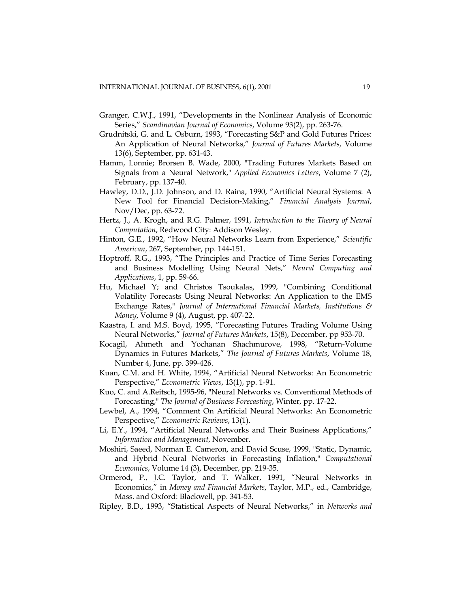- Granger, C.W.J., 1991, "Developments in the Nonlinear Analysis of Economic Series," *Scandinavian Journal of Economics*, Volume 93(2), pp. 263-76.
- Grudnitski, G. and L. Osburn, 1993, "Forecasting S&P and Gold Futures Prices: An Application of Neural Networks," *Journal of Futures Markets*, Volume 13(6), September, pp. 631-43.
- Hamm, Lonnie; Brorsen B. Wade, 2000, "Trading Futures Markets Based on Signals from a Neural Network," *Applied Economics Letters*, Volume 7 (2), February, pp. 137-40.
- Hawley, D.D., J.D. Johnson, and D. Raina, 1990, "Artificial Neural Systems: A New Tool for Financial Decision-Making," *Financial Analysis Journal*, Nov/Dec, pp. 63-72.
- Hertz, J., A. Krogh, and R.G. Palmer, 1991, *Introduction to the Theory of Neural Computation*, Redwood City: Addison Wesley.
- Hinton, G.E., 1992, "How Neural Networks Learn from Experience," *Scientific American*, 267, September, pp. 144-151.
- Hoptroff, R.G., 1993, "The Principles and Practice of Time Series Forecasting and Business Modelling Using Neural Nets," *Neural Computing and Applications*, 1, pp. 59-66.
- Hu, Michael Y; and Christos Tsoukalas, 1999, "Combining Conditional Volatility Forecasts Using Neural Networks: An Application to the EMS Exchange Rates," *Journal of International Financial Markets, Institutions & Money*, Volume 9 (4), August, pp. 407-22.
- Kaastra, I. and M.S. Boyd, 1995, "Forecasting Futures Trading Volume Using Neural Networks," *Journal of Futures Markets*, 15(8), December, pp 953-70.
- Kocagil, Ahmeth and Yochanan Shachmurove, 1998, "Return-Volume Dynamics in Futures Markets," *The Journal of Futures Markets*, Volume 18, Number 4, June, pp. 399-426.
- Kuan, C.M. and H. White, 1994, "Artificial Neural Networks: An Econometric Perspective," *Econometric Views*, 13(1), pp. 1-91.
- Kuo, C. and A.Reitsch, 1995-96, "Neural Networks vs. Conventional Methods of Forecasting," *The Journal of Business Forecasting*, Winter, pp. 17-22.
- Lewbel, A., 1994, "Comment On Artificial Neural Networks: An Econometric Perspective," *Econometric Reviews*, 13(1).
- Li, E.Y., 1994, "Artificial Neural Networks and Their Business Applications," *Information and Management*, November.
- Moshiri, Saeed, Norman E. Cameron, and David Scuse, 1999, "Static, Dynamic, and Hybrid Neural Networks in Forecasting Inflation," *Computational Economics*, Volume 14 (3), December, pp. 219-35.
- Ormerod, P., J.C. Taylor, and T. Walker, 1991, "Neural Networks in Economics," in *Money and Financial Markets*, Taylor, M.P., ed., Cambridge, Mass. and Oxford: Blackwell, pp. 341-53.
- Ripley, B.D., 1993, "Statistical Aspects of Neural Networks," in *Networks and*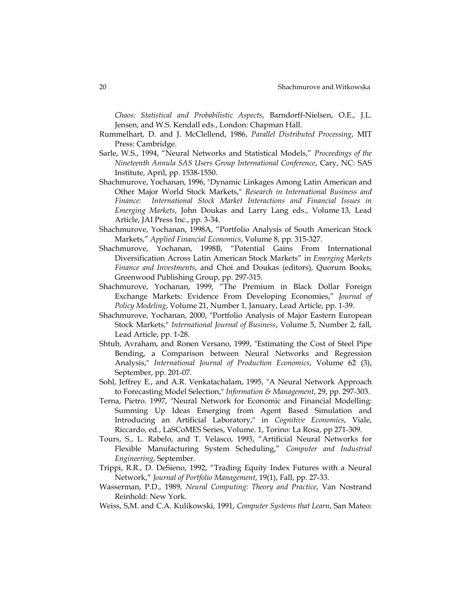*Chaos: Statistical and Probabilistic Aspects*, Barndorff-Nielsen, O.E., J.L. Jensen, and W.S. Kendall eds., London: Chapman Hall.

- Rummelhart, D. and J. McClellend, 1986, *Parallel Distributed Processing*, MIT Press: Cambridge.
- Sarle, W.S., 1994, "Neural Networks and Statistical Models," *Proceedings of the Nineteenth Annula SAS Users Group International Conference*, Cary, NC: SAS Institute, April, pp. 1538-1550.
- Shachmurove, Yochanan, 1996, "Dynamic Linkages Among Latin American and Other Major World Stock Markets," *Research in International Business and Finance: International Stock Market Interactions and Financial Issues in Emerging Markets*, John Doukas and Larry Lang eds., Volume 13, Lead Article, JAI Press Inc., pp. 3-34.
- Shachmurove, Yochanan, 1998A, "Portfolio Analysis of South American Stock Markets," *Applied Financial Economics*, Volume 8, pp. 315-327.
- Shachmurove, Yochanan, 1998B, "Potential Gains From International Diversification Across Latin American Stock Markets" in *Emerging Markets Finance and Investments*, and Choi and Doukas (editors), Quorum Books, Greenwood Publishing Group, pp. 297-315.
- Shachmurove, Yochanan, 1999, "The Premium in Black Dollar Foreign Exchange Markets: Evidence From Developing Economies," *Journal of Policy Modeling*, Volume 21, Number 1, January, Lead Article, pp. 1-39.
- Shachmurove, Yochanan, 2000, "Portfolio Analysis of Major Eastern European Stock Markets," *International Journal of Business*, Volume 5, Number 2, fall, Lead Article, pp. 1-28.
- Shtub, Avraham, and Ronen Versano, 1999, "Estimating the Cost of Steel Pipe Bending, a Comparison between Neural Networks and Regression Analysis," *International Journal of Production Economics*, Volume 62 (3), September, pp. 201-07.
- Sohl, Jeffrey E., and A.R. Venkatachalam, 1995, "A Neural Network Approach to Forecasting Model Selection," *Information & Management*, 29, pp. 297-303.
- Terna, Pietro. 1997, "Neural Network for Economic and Financial Modelling: Summing Up Ideas Emerging from Agent Based Simulation and Introducing an Artificial Laboratory," in *Cognitive Economics*, Viale, Riccardo, ed., LaSCoMES Series, Volume. 1, Torino: La Rosa, pp 271-309.
- Tours, S., L. Rabelo, and T. Velasco, 1993, "Artificial Neural Networks for Flexible Manufacturing System Scheduling," *Computer and Industrial Engineering*, September.
- Trippi, R.R., D. DeSieno, 1992, "Trading Equity Index Futures with a Neural Network," *Journal of Portfolio Management*, 19(1), Fall, pp. 27-33.
- Wasserman, P.D., 1989, *Neural Computing: Theory and Practice*, Van Nostrand Reinhold: New York.
- Weiss, S,M. and C.A. Kulikowski, 1991, *Computer Systems that Learn*, San Mateo: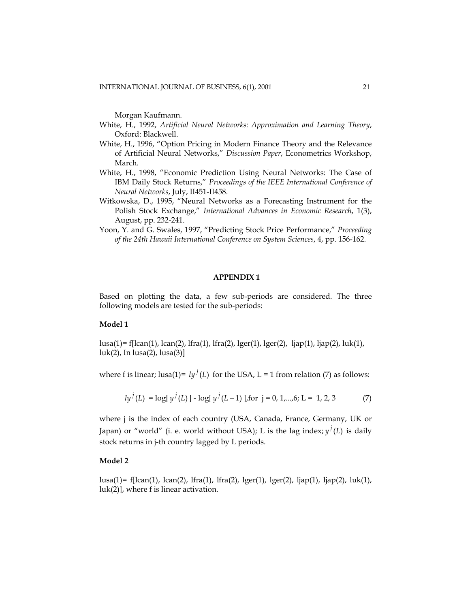Morgan Kaufmann.

- White, H., 1992, *Artificial Neural Networks: Approximation and Learning Theory*, Oxford: Blackwell.
- White, H., 1996, "Option Pricing in Modern Finance Theory and the Relevance of Artificial Neural Networks," *Discussion Paper*, Econometrics Workshop, March.
- White, H., 1998, "Economic Prediction Using Neural Networks: The Case of IBM Daily Stock Returns," *Proceedings of the IEEE International Conference of Neural Networks*, July, II451-II458.
- Witkowska, D., 1995, "Neural Networks as a Forecasting Instrument for the Polish Stock Exchange," *International Advances in Economic Research*, 1(3), August, pp. 232-241.
- Yoon, Y. and G. Swales, 1997, "Predicting Stock Price Performance," *Proceeding of the 24th Hawaii International Conference on System Sciences*, 4, pp. 156-162.

#### **APPENDIX 1**

Based on plotting the data, a few sub-periods are considered. The three following models are tested for the sub-periods:

## **Model 1**

lusa(1)= f[lcan(1), lcan(2), lfra(1), lfra(2), lger(1), lger(2), ljap(1), ljap(2), luk(1),  $\text{luk}(2)$ , In  $\text{lusa}(2)$ ,  $\text{lusa}(3)$ ]

where f is linear; lusa(1)=  $l\psi^{j}(L)$  for the USA, L = 1 from relation (7) as follows:

$$
ly^j(L) = \log[y^j(L)] - \log[y^j(L-1)]
$$
, for  $j = 0, 1, ..., 6$ ;  $L = 1, 2, 3$  (7)

where j is the index of each country (USA, Canada, France, Germany, UK or Japan) or "world" (i. e. world without USA); L is the lag index;  $y^{j}(L)$  is daily stock returns in j-th country lagged by L periods.

#### **Model 2**

 $lusa(1)= f[lcan(1), lcan(2), lfra(1), lfra(2), lger(1), lger(2), ljan(1), lian(2), luk(1),$ luk(2)], where f is linear activation.